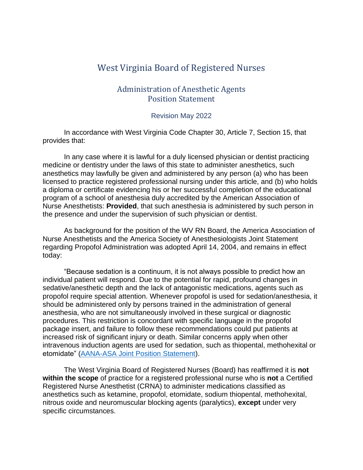# West Virginia Board of Registered Nurses

## Administration of Anesthetic Agents Position Statement

#### Revision May 2022

In accordance with West Virginia Code Chapter 30, Article 7, Section 15, that provides that:

In any case where it is lawful for a duly licensed physician or dentist practicing medicine or dentistry under the laws of this state to administer anesthetics, such anesthetics may lawfully be given and administered by any person (a) who has been licensed to practice registered professional nursing under this article, and (b) who holds a diploma or certificate evidencing his or her successful completion of the educational program of a school of anesthesia duly accredited by the American Association of Nurse Anesthetists: **Provided**, that such anesthesia is administered by such person in the presence and under the supervision of such physician or dentist.

As background for the position of the WV RN Board, the America Association of Nurse Anesthetists and the America Society of Anesthesiologists Joint Statement regarding Propofol Administration was adopted April 14, 2004, and remains in effect today:

"Because sedation is a continuum, it is not always possible to predict how an individual patient will respond. Due to the potential for rapid, profound changes in sedative/anesthetic depth and the lack of antagonistic medications, agents such as propofol require special attention. Whenever propofol is used for sedation/anesthesia, it should be administered only by persons trained in the administration of general anesthesia, who are not simultaneously involved in these surgical or diagnostic procedures. This restriction is concordant with specific language in the propofol package insert, and failure to follow these recommendations could put patients at increased risk of significant injury or death. Similar concerns apply when other intravenous induction agents are used for sedation, such as thiopental, methohexital or etomidate" [\(AANA-ASA Joint Position Statement\)](http://www.aana.com/resources2/professionalpractice/Documents/PPM%20PS%20Joint%20AANA-ASA%20Propofol.pdf).

The West Virginia Board of Registered Nurses (Board) has reaffirmed it is **not within the scope** of practice for a registered professional nurse who is **not** a Certified Registered Nurse Anesthetist (CRNA) to administer medications classified as anesthetics such as ketamine, propofol, etomidate, sodium thiopental, methohexital, nitrous oxide and neuromuscular blocking agents (paralytics), **except** under very specific circumstances.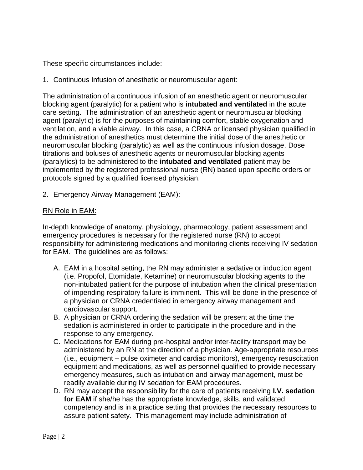These specific circumstances include:

1. Continuous Infusion of anesthetic or neuromuscular agent:

The administration of a continuous infusion of an anesthetic agent or neuromuscular blocking agent (paralytic) for a patient who is **intubated and ventilated** in the acute care setting. The administration of an anesthetic agent or neuromuscular blocking agent (paralytic) is for the purposes of maintaining comfort, stable oxygenation and ventilation, and a viable airway. In this case, a CRNA or licensed physician qualified in the administration of anesthetics must determine the initial dose of the anesthetic or neuromuscular blocking (paralytic) as well as the continuous infusion dosage. Dose titrations and boluses of anesthetic agents or neuromuscular blocking agents (paralytics) to be administered to the **intubated and ventilated** patient may be implemented by the registered professional nurse (RN) based upon specific orders or protocols signed by a qualified licensed physician.

2. Emergency Airway Management (EAM):

### RN Role in EAM:

In-depth knowledge of anatomy, physiology, pharmacology, patient assessment and emergency procedures is necessary for the registered nurse (RN) to accept responsibility for administering medications and monitoring clients receiving IV sedation for EAM. The guidelines are as follows:

- A. EAM in a hospital setting, the RN may administer a sedative or induction agent (i.e. Propofol, Etomidate, Ketamine) or neuromuscular blocking agents to the non-intubated patient for the purpose of intubation when the clinical presentation of impending respiratory failure is imminent. This will be done in the presence of a physician or CRNA credentialed in emergency airway management and cardiovascular support.
- B. A physician or CRNA ordering the sedation will be present at the time the sedation is administered in order to participate in the procedure and in the response to any emergency.
- C. Medications for EAM during pre-hospital and/or inter-facility transport may be administered by an RN at the direction of a physician. Age-appropriate resources (i.e., equipment – pulse oximeter and cardiac monitors), emergency resuscitation equipment and medications, as well as personnel qualified to provide necessary emergency measures, such as intubation and airway management, must be readily available during IV sedation for EAM procedures.
- D. RN may accept the responsibility for the care of patients receiving **I.V. sedation for EAM** if she/he has the appropriate knowledge, skills, and validated competency and is in a practice setting that provides the necessary resources to assure patient safety. This management may include administration of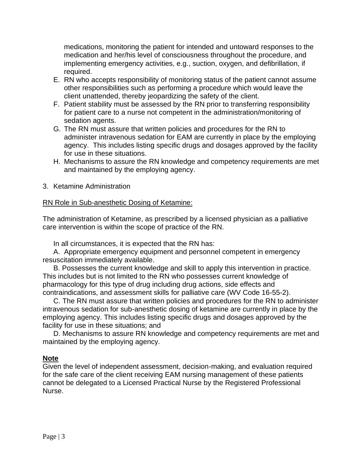medications, monitoring the patient for intended and untoward responses to the medication and her/his level of consciousness throughout the procedure, and implementing emergency activities, e.g., suction, oxygen, and defibrillation, if required.

- E. RN who accepts responsibility of monitoring status of the patient cannot assume other responsibilities such as performing a procedure which would leave the client unattended, thereby jeopardizing the safety of the client.
- F. Patient stability must be assessed by the RN prior to transferring responsibility for patient care to a nurse not competent in the administration/monitoring of sedation agents.
- G. The RN must assure that written policies and procedures for the RN to administer intravenous sedation for EAM are currently in place by the employing agency. This includes listing specific drugs and dosages approved by the facility for use in these situations.
- H. Mechanisms to assure the RN knowledge and competency requirements are met and maintained by the employing agency.
- 3. Ketamine Administration

### RN Role in Sub-anesthetic Dosing of Ketamine:

The administration of Ketamine, as prescribed by a licensed physician as a palliative care intervention is within the scope of practice of the RN.

In all circumstances, it is expected that the RN has:

A. Appropriate emergency equipment and personnel competent in emergency resuscitation immediately available.

B. Possesses the current knowledge and skill to apply this intervention in practice. This includes but is not limited to the RN who possesses current knowledge of pharmacology for this type of drug including drug actions, side effects and contraindications, and assessment skills for palliative care (WV Code 16-55-2).

C. The RN must assure that written policies and procedures for the RN to administer intravenous sedation for sub-anesthetic dosing of ketamine are currently in place by the employing agency. This includes listing specific drugs and dosages approved by the facility for use in these situations; and

D. Mechanisms to assure RN knowledge and competency requirements are met and maintained by the employing agency.

#### **Note**

Given the level of independent assessment, decision-making, and evaluation required for the safe care of the client receiving EAM nursing management of these patients cannot be delegated to a Licensed Practical Nurse by the Registered Professional Nurse.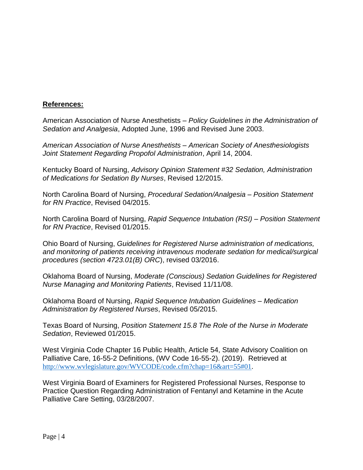#### **References:**

American Association of Nurse Anesthetists – *Policy Guidelines in the Administration of Sedation and Analgesia*, Adopted June, 1996 and Revised June 2003.

*American Association of Nurse Anesthetists – American Society of Anesthesiologists Joint Statement Regarding Propofol Administration*, April 14, 2004.

Kentucky Board of Nursing, *Advisory Opinion Statement #32 Sedation, Administration of Medications for Sedation By Nurses*, Revised 12/2015.

North Carolina Board of Nursing, *Procedural Sedation/Analgesia – Position Statement for RN Practice*, Revised 04/2015.

North Carolina Board of Nursing, *Rapid Sequence Intubation (RSI) – Position Statement for RN Practice*, Revised 01/2015.

Ohio Board of Nursing, *Guidelines for Registered Nurse administration of medications, and monitoring of patients receiving intravenous moderate sedation for medical/surgical procedures (section 4723.01(B) ORC*), revised 03/2016.

Oklahoma Board of Nursing, *Moderate (Conscious) Sedation Guidelines for Registered Nurse Managing and Monitoring Patients*, Revised 11/11/08.

Oklahoma Board of Nursing, *Rapid Sequence Intubation Guidelines – Medication Administration by Registered Nurses*, Revised 05/2015.

Texas Board of Nursing, *Position Statement 15.8 The Role of the Nurse in Moderate Sedation*, Reviewed 01/2015.

West Virginia Code Chapter 16 Public Health, Article 54, State Advisory Coalition on Palliative Care, 16-55-2 Definitions, (WV Code 16-55-2). (2019). Retrieved at http://www.wvlegislature.gov/WVCODE/code.cfm?chap=16&art=55#01.

West Virginia Board of Examiners for Registered Professional Nurses, Response to Practice Question Regarding Administration of Fentanyl and Ketamine in the Acute Palliative Care Setting, 03/28/2007.